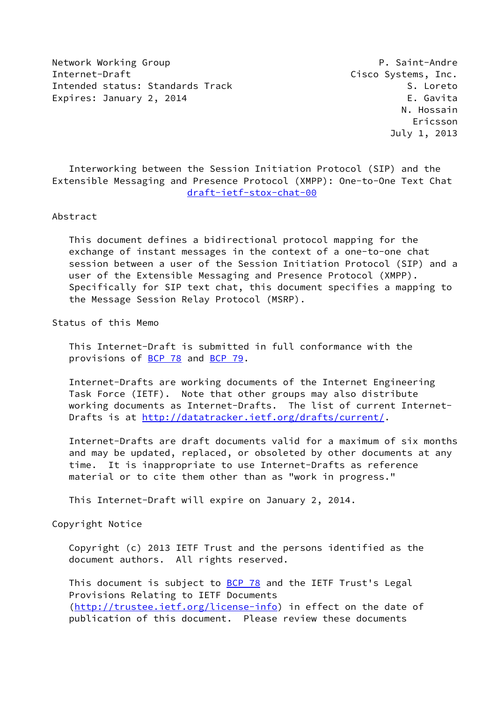Network Working Group **P. Saint-Andre** Internet-Draft **Cisco Systems**. Inc. Intended status: Standards Track S. Loreto Expires: January 2, 2014 **Expires: E. Gavita** 

 Interworking between the Session Initiation Protocol (SIP) and the Extensible Messaging and Presence Protocol (XMPP): One-to-One Text Chat [draft-ietf-stox-chat-00](https://datatracker.ietf.org/doc/pdf/draft-ietf-stox-chat-00)

## Abstract

 This document defines a bidirectional protocol mapping for the exchange of instant messages in the context of a one-to-one chat session between a user of the Session Initiation Protocol (SIP) and a user of the Extensible Messaging and Presence Protocol (XMPP). Specifically for SIP text chat, this document specifies a mapping to the Message Session Relay Protocol (MSRP).

Status of this Memo

 This Internet-Draft is submitted in full conformance with the provisions of [BCP 78](https://datatracker.ietf.org/doc/pdf/bcp78) and [BCP 79](https://datatracker.ietf.org/doc/pdf/bcp79).

 Internet-Drafts are working documents of the Internet Engineering Task Force (IETF). Note that other groups may also distribute working documents as Internet-Drafts. The list of current Internet- Drafts is at<http://datatracker.ietf.org/drafts/current/>.

 Internet-Drafts are draft documents valid for a maximum of six months and may be updated, replaced, or obsoleted by other documents at any time. It is inappropriate to use Internet-Drafts as reference material or to cite them other than as "work in progress."

This Internet-Draft will expire on January 2, 2014.

Copyright Notice

 Copyright (c) 2013 IETF Trust and the persons identified as the document authors. All rights reserved.

This document is subject to **[BCP 78](https://datatracker.ietf.org/doc/pdf/bcp78)** and the IETF Trust's Legal Provisions Relating to IETF Documents [\(http://trustee.ietf.org/license-info](http://trustee.ietf.org/license-info)) in effect on the date of publication of this document. Please review these documents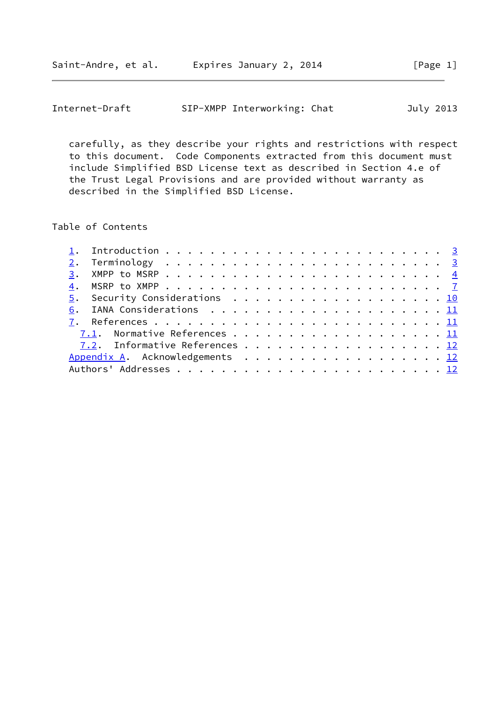|  | Internet-Draft |  | SIP-XMPP Interworking: Chat |  | July 2013 |
|--|----------------|--|-----------------------------|--|-----------|
|--|----------------|--|-----------------------------|--|-----------|

 carefully, as they describe your rights and restrictions with respect to this document. Code Components extracted from this document must include Simplified BSD License text as described in Section 4.e of the Trust Legal Provisions and are provided without warranty as described in the Simplified BSD License.

Table of Contents

|  | 5. Security Considerations 10   |  |  |  |  |  |  |  |  |  |  |  |  |
|--|---------------------------------|--|--|--|--|--|--|--|--|--|--|--|--|
|  |                                 |  |  |  |  |  |  |  |  |  |  |  |  |
|  |                                 |  |  |  |  |  |  |  |  |  |  |  |  |
|  | 7.1. Normative References 11    |  |  |  |  |  |  |  |  |  |  |  |  |
|  | 7.2. Informative References 12  |  |  |  |  |  |  |  |  |  |  |  |  |
|  | Appendix A. Acknowledgements 12 |  |  |  |  |  |  |  |  |  |  |  |  |
|  |                                 |  |  |  |  |  |  |  |  |  |  |  |  |
|  |                                 |  |  |  |  |  |  |  |  |  |  |  |  |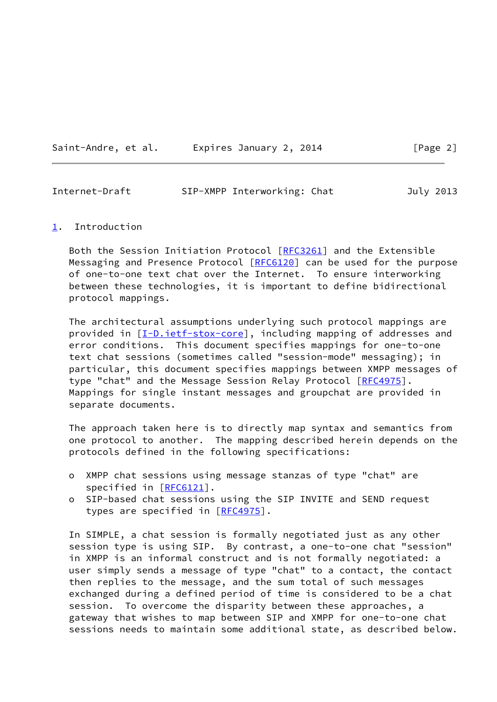| Saint-Andre, et al. | Expires January 2, 2014 |  |  |
|---------------------|-------------------------|--|--|
|                     |                         |  |  |

<span id="page-2-1"></span>

| Internet-Draft | SIP-XMPP Interworking: Chat |  | July 2013 |
|----------------|-----------------------------|--|-----------|
|                |                             |  |           |

## <span id="page-2-0"></span>[1](#page-2-0). Introduction

 Both the Session Initiation Protocol [\[RFC3261](https://datatracker.ietf.org/doc/pdf/rfc3261)] and the Extensible Messaging and Presence Protocol [\[RFC6120](https://datatracker.ietf.org/doc/pdf/rfc6120)] can be used for the purpose of one-to-one text chat over the Internet. To ensure interworking between these technologies, it is important to define bidirectional protocol mappings.

 The architectural assumptions underlying such protocol mappings are provided in  $[I-D.iett-stox-core]$ , including mapping of addresses and error conditions. This document specifies mappings for one-to-one text chat sessions (sometimes called "session-mode" messaging); in particular, this document specifies mappings between XMPP messages of type "chat" and the Message Session Relay Protocol [[RFC4975\]](https://datatracker.ietf.org/doc/pdf/rfc4975). Mappings for single instant messages and groupchat are provided in separate documents.

 The approach taken here is to directly map syntax and semantics from one protocol to another. The mapping described herein depends on the protocols defined in the following specifications:

- o XMPP chat sessions using message stanzas of type "chat" are specified in [\[RFC6121](https://datatracker.ietf.org/doc/pdf/rfc6121)].
- o SIP-based chat sessions using the SIP INVITE and SEND request types are specified in [[RFC4975](https://datatracker.ietf.org/doc/pdf/rfc4975)].

 In SIMPLE, a chat session is formally negotiated just as any other session type is using SIP. By contrast, a one-to-one chat "session" in XMPP is an informal construct and is not formally negotiated: a user simply sends a message of type "chat" to a contact, the contact then replies to the message, and the sum total of such messages exchanged during a defined period of time is considered to be a chat session. To overcome the disparity between these approaches, a gateway that wishes to map between SIP and XMPP for one-to-one chat sessions needs to maintain some additional state, as described below.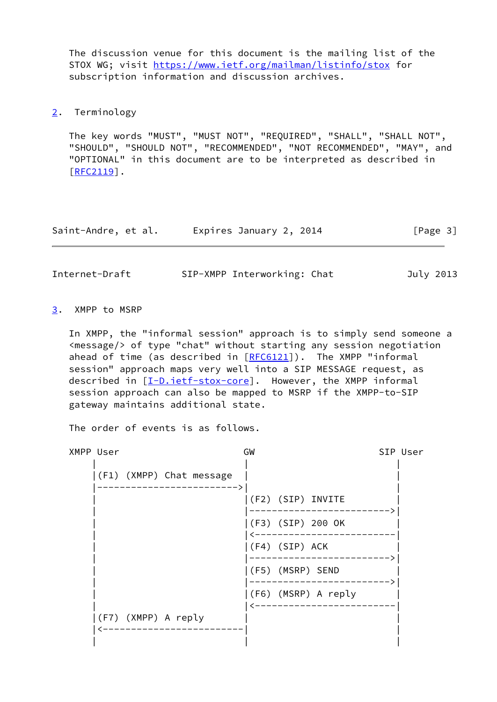The discussion venue for this document is the mailing list of the STOX WG; visit <https://www.ietf.org/mailman/listinfo/stox>for subscription information and discussion archives.

<span id="page-3-0"></span>[2](#page-3-0). Terminology

 The key words "MUST", "MUST NOT", "REQUIRED", "SHALL", "SHALL NOT", "SHOULD", "SHOULD NOT", "RECOMMENDED", "NOT RECOMMENDED", "MAY", and "OPTIONAL" in this document are to be interpreted as described in [\[RFC2119](https://datatracker.ietf.org/doc/pdf/rfc2119)].

| Saint-Andre, et al. | Expires January 2, 2014 | [Page 3] |
|---------------------|-------------------------|----------|
|---------------------|-------------------------|----------|

<span id="page-3-2"></span>Internet-Draft SIP-XMPP Interworking: Chat July 2013

<span id="page-3-1"></span>[3](#page-3-1). XMPP to MSRP

 In XMPP, the "informal session" approach is to simply send someone a <message/> of type "chat" without starting any session negotiation ahead of time (as described in [\[RFC6121](https://datatracker.ietf.org/doc/pdf/rfc6121)]). The XMPP "informal session" approach maps very well into a SIP MESSAGE request, as described in [\[I-D.ietf-stox-core\]](#page-11-5). However, the XMPP informal session approach can also be mapped to MSRP if the XMPP-to-SIP gateway maintains additional state.

The order of events is as follows.

| XMPP User |                     |                          | GW |                |                        | SIP User |
|-----------|---------------------|--------------------------|----|----------------|------------------------|----------|
|           |                     | (F1) (XMPP) Chat message |    |                |                        |          |
|           |                     |                          |    |                | $ (F2)$ $(SIP)$ INVITE |          |
|           |                     |                          |    |                | (F3) (SIP) 200 OK      |          |
|           |                     |                          |    | (F4) (SIP) ACK |                        |          |
|           |                     |                          |    |                | (F5) (MSRP) SEND       |          |
|           |                     |                          |    |                | (F6) (MSRP) A reply    |          |
|           | (F7) (XMPP) A reply |                          |    |                |                        |          |
|           |                     |                          |    |                |                        |          |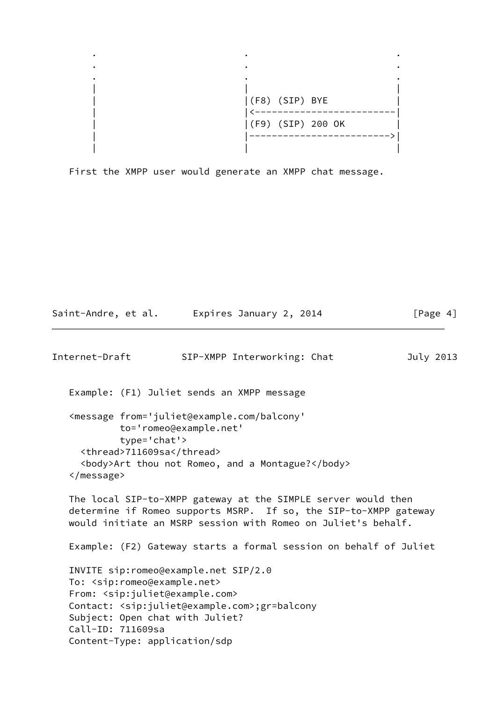

First the XMPP user would generate an XMPP chat message.

```
Internet-Draft SIP-XMPP Interworking: Chat July 2013
  Example: (F1) Juliet sends an XMPP message
  <message from='juliet@example.com/balcony'
           to='romeo@example.net'
           type='chat'>
    <thread>711609sa</thread>
    <body>Art thou not Romeo, and a Montague?</body>
  </message>
  The local SIP-to-XMPP gateway at the SIMPLE server would then
  determine if Romeo supports MSRP. If so, the SIP-to-XMPP gateway
 would initiate an MSRP session with Romeo on Juliet's behalf.
  Example: (F2) Gateway starts a formal session on behalf of Juliet
  INVITE sip:romeo@example.net SIP/2.0
  To: <sip:romeo@example.net>
  From: <sip:juliet@example.com>
  Contact: <sip:juliet@example.com>;gr=balcony
  Subject: Open chat with Juliet?
  Call-ID: 711609sa
  Content-Type: application/sdp
```
Saint-Andre, et al. Expires January 2, 2014 [Page 4]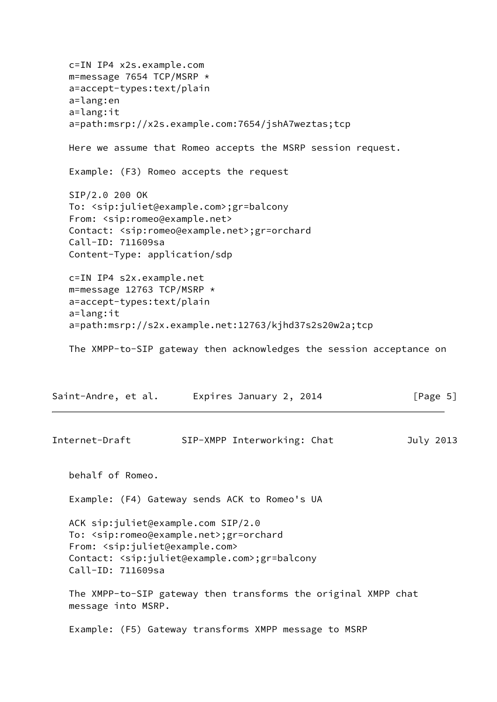c=IN IP4 x2s.example.com m=message 7654 TCP/MSRP \* a=accept-types:text/plain a=lang:en a=lang:it a=path:msrp://x2s.example.com:7654/jshA7weztas;tcp Here we assume that Romeo accepts the MSRP session request. Example: (F3) Romeo accepts the request SIP/2.0 200 OK To: <sip:juliet@example.com>;gr=balcony From: <sip:romeo@example.net> Contact: <sip:romeo@example.net>;gr=orchard Call-ID: 711609sa Content-Type: application/sdp c=IN IP4 s2x.example.net m=message 12763 TCP/MSRP \* a=accept-types:text/plain a=lang:it a=path:msrp://s2x.example.net:12763/kjhd37s2s20w2a;tcp The XMPP-to-SIP gateway then acknowledges the session acceptance on Saint-Andre, et al. Expires January 2, 2014 [Page 5] Internet-Draft SIP-XMPP Interworking: Chat July 2013 behalf of Romeo. Example: (F4) Gateway sends ACK to Romeo's UA ACK sip:juliet@example.com SIP/2.0 To: <sip:romeo@example.net>;gr=orchard From: <sip:juliet@example.com> Contact: <sip:juliet@example.com>;gr=balcony Call-ID: 711609sa The XMPP-to-SIP gateway then transforms the original XMPP chat message into MSRP. Example: (F5) Gateway transforms XMPP message to MSRP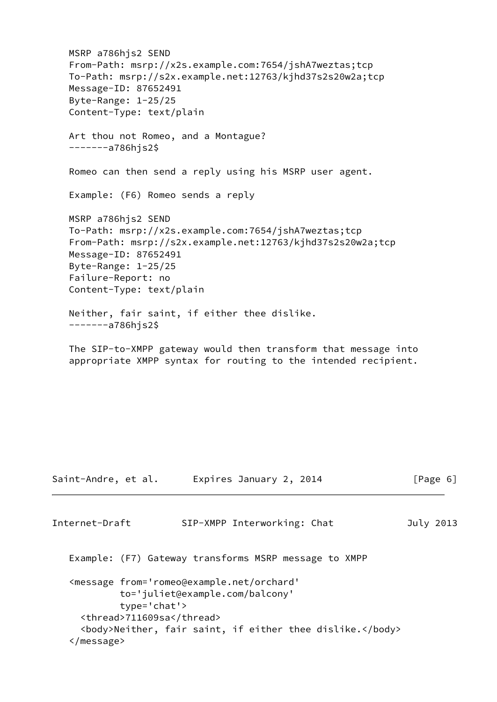MSRP a786hjs2 SEND From-Path: msrp://x2s.example.com:7654/jshA7weztas;tcp To-Path: msrp://s2x.example.net:12763/kjhd37s2s20w2a;tcp Message-ID: 87652491 Byte-Range: 1-25/25 Content-Type: text/plain Art thou not Romeo, and a Montague? -------a786hjs2\$ Romeo can then send a reply using his MSRP user agent. Example: (F6) Romeo sends a reply MSRP a786hjs2 SEND To-Path: msrp://x2s.example.com:7654/jshA7weztas;tcp From-Path: msrp://s2x.example.net:12763/kjhd37s2s20w2a;tcp Message-ID: 87652491 Byte-Range: 1-25/25 Failure-Report: no Content-Type: text/plain Neither, fair saint, if either thee dislike. -------a786hjs2\$ The SIP-to-XMPP gateway would then transform that message into appropriate XMPP syntax for routing to the intended recipient. Saint-Andre, et al. Expires January 2, 2014 [Page 6] Internet-Draft SIP-XMPP Interworking: Chat July 2013

<span id="page-6-0"></span> Example: (F7) Gateway transforms MSRP message to XMPP <message from='romeo@example.net/orchard' to='juliet@example.com/balcony' type='chat'> <thread>711609sa</thread>

 <body>Neither, fair saint, if either thee dislike.</body> </message>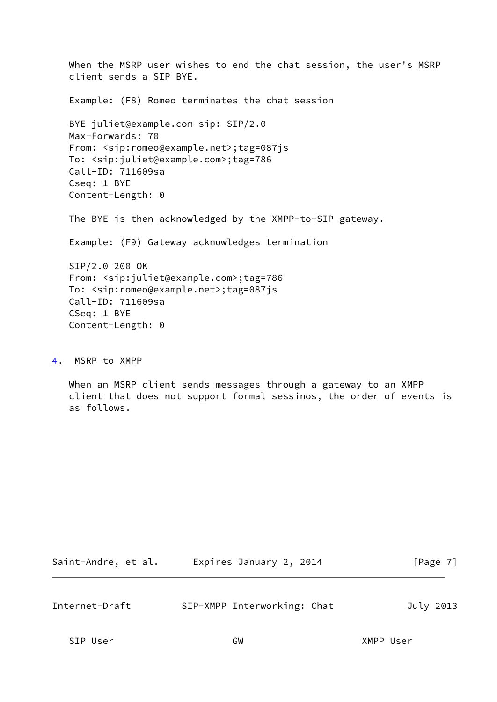When the MSRP user wishes to end the chat session, the user's MSRP client sends a SIP BYE. Example: (F8) Romeo terminates the chat session BYE juliet@example.com sip: SIP/2.0 Max-Forwards: 70 From: <sip:romeo@example.net>;tag=087js To: <sip:juliet@example.com>;tag=786 Call-ID: 711609sa Cseq: 1 BYE Content-Length: 0 The BYE is then acknowledged by the XMPP-to-SIP gateway. Example: (F9) Gateway acknowledges termination SIP/2.0 200 OK From: <sip:juliet@example.com>;tag=786 To: <sip:romeo@example.net>;tag=087js Call-ID: 711609sa CSeq: 1 BYE Content-Length: 0

<span id="page-7-0"></span>[4](#page-7-0). MSRP to XMPP

 When an MSRP client sends messages through a gateway to an XMPP client that does not support formal sessinos, the order of events is as follows.

| Expires January 2, 2014<br>Saint-Andre, et al. | [Page 7] |
|------------------------------------------------|----------|
|------------------------------------------------|----------|

Internet-Draft SIP-XMPP Interworking: Chat July 2013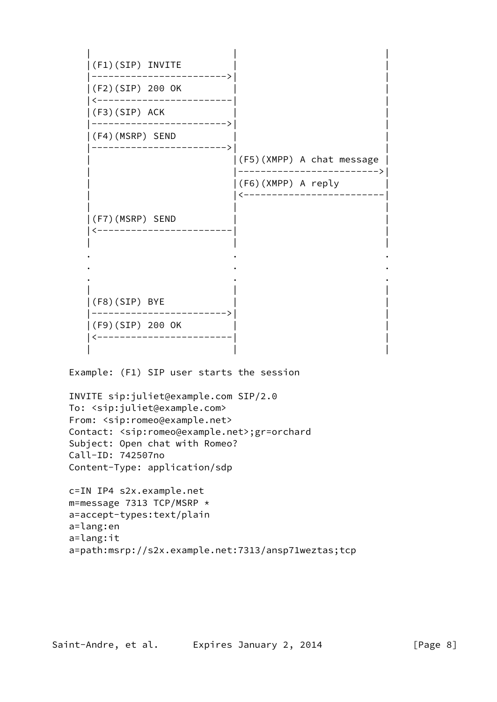| | |  $|(F1)(SIP)$  INVITE |------------------------>| | |(F2)(SIP) 200 OK | | |<------------------------| |  $|(F3)(SIP)$  ACK |------------------------>| | |(F4)(MSRP) SEND | | |------------------------>| | | |(F5)(XMPP) A chat message | | |------------------------->| | |(F6)(XMPP) A reply | | |<-------------------------| | | |  $|(F7)(MSRP)$  SEND |<------------------------| | | | | . . . . . . . . . | | |  $|(F8)(SIP)$  BYE |------------------------>| | |(F9)(SIP) 200 OK | | |<------------------------| | | | | Example: (F1) SIP user starts the session INVITE sip:juliet@example.com SIP/2.0 To: <sip:juliet@example.com> From: <sip:romeo@example.net> Contact: <sip:romeo@example.net>;gr=orchard Subject: Open chat with Romeo? Call-ID: 742507no Content-Type: application/sdp c=IN IP4 s2x.example.net m=message 7313 TCP/MSRP \* a=accept-types:text/plain

- a=lang:en
- a=lang:it a=path:msrp://s2x.example.net:7313/ansp71weztas;tcp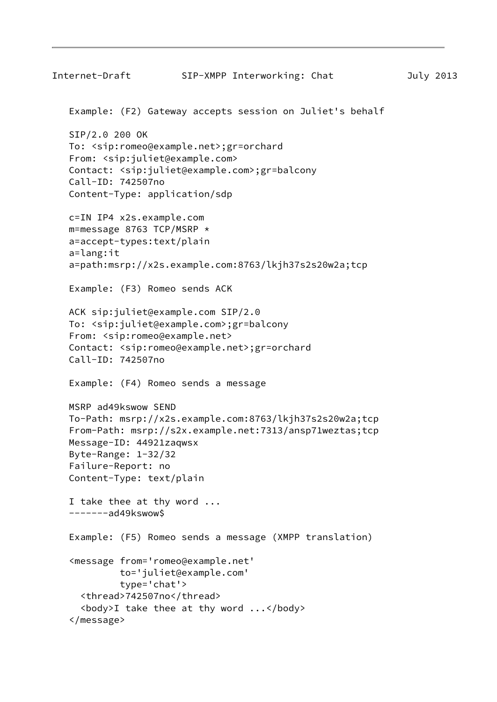```
Internet-Draft SIP-XMPP Interworking: Chat July 2013
  Example: (F2) Gateway accepts session on Juliet's behalf
  SIP/2.0 200 OK
 To: <sip:romeo@example.net>;gr=orchard
  From: <sip:juliet@example.com>
  Contact: <sip:juliet@example.com>;gr=balcony
  Call-ID: 742507no
  Content-Type: application/sdp
  c=IN IP4 x2s.example.com
 m=message 8763 TCP/MSRP *
  a=accept-types:text/plain
  a=lang:it
  a=path:msrp://x2s.example.com:8763/lkjh37s2s20w2a;tcp
  Example: (F3) Romeo sends ACK
 ACK sip:juliet@example.com SIP/2.0
 To: <sip:juliet@example.com>;gr=balcony
  From: <sip:romeo@example.net>
  Contact: <sip:romeo@example.net>;gr=orchard
  Call-ID: 742507no
  Example: (F4) Romeo sends a message
  MSRP ad49kswow SEND
 To-Path: msrp://x2s.example.com:8763/lkjh37s2s20w2a;tcp
  From-Path: msrp://s2x.example.net:7313/ansp71weztas;tcp
  Message-ID: 44921zaqwsx
  Byte-Range: 1-32/32
  Failure-Report: no
  Content-Type: text/plain
 I take thee at thy word ...
  -------ad49kswow$
  Example: (F5) Romeo sends a message (XMPP translation)
  <message from='romeo@example.net'
           to='juliet@example.com'
           type='chat'>
    <thread>742507no</thread>
    <body>I take thee at thy word ...</body>
  </message>
```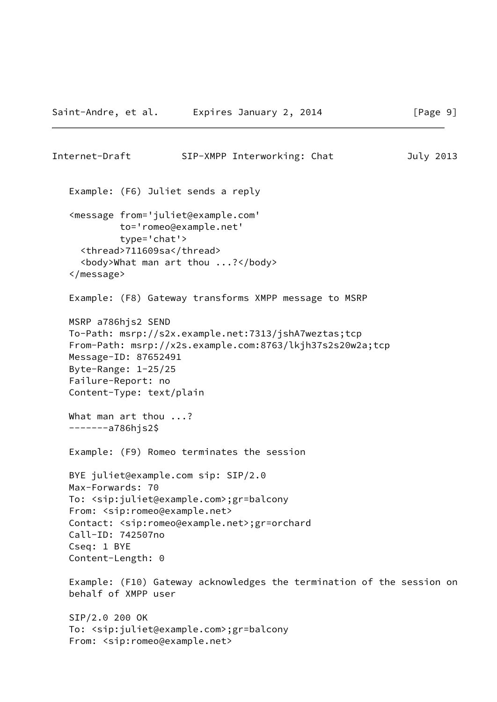```
Internet-Draft SIP-XMPP Interworking: Chat July 2013
  Example: (F6) Juliet sends a reply
  <message from='juliet@example.com'
           to='romeo@example.net'
           type='chat'>
    <thread>711609sa</thread>
    <body>What man art thou ...?</body>
  </message>
  Example: (F8) Gateway transforms XMPP message to MSRP
 MSRP a786hjs2 SEND
 To-Path: msrp://s2x.example.net:7313/jshA7weztas;tcp
  From-Path: msrp://x2s.example.com:8763/lkjh37s2s20w2a;tcp
  Message-ID: 87652491
  Byte-Range: 1-25/25
  Failure-Report: no
  Content-Type: text/plain
What man art thou ...?
  -------a786hjs2$
 Example: (F9) Romeo terminates the session
 BYE juliet@example.com sip: SIP/2.0
 Max-Forwards: 70
  To: <sip:juliet@example.com>;gr=balcony
  From: <sip:romeo@example.net>
 Contact: <sip:romeo@example.net>;gr=orchard
  Call-ID: 742507no
```
 Example: (F10) Gateway acknowledges the termination of the session on behalf of XMPP user

 SIP/2.0 200 OK To: <sip:juliet@example.com>;gr=balcony From: <sip:romeo@example.net>

Cseq: 1 BYE

Content-Length: 0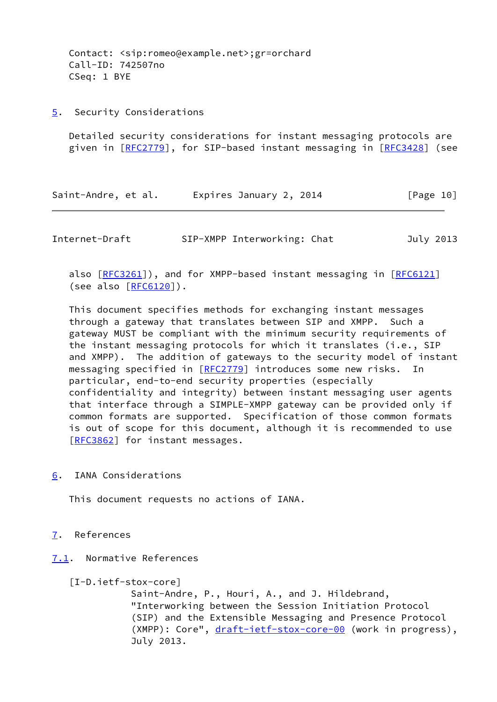Contact: <sip:romeo@example.net>;gr=orchard Call-ID: 742507no CSeq: 1 BYE

<span id="page-11-0"></span>[5](#page-11-0). Security Considerations

 Detailed security considerations for instant messaging protocols are given in [\[RFC2779](https://datatracker.ietf.org/doc/pdf/rfc2779)], for SIP-based instant messaging in [\[RFC3428](https://datatracker.ietf.org/doc/pdf/rfc3428)] (see

Saint-Andre, et al. Expires January 2, 2014 [Page 10]

<span id="page-11-2"></span>Internet-Draft SIP-XMPP Interworking: Chat July 2013

also [\[RFC3261](https://datatracker.ietf.org/doc/pdf/rfc3261)]), and for XMPP-based instant messaging in [\[RFC6121](https://datatracker.ietf.org/doc/pdf/rfc6121)] (see also [[RFC6120](https://datatracker.ietf.org/doc/pdf/rfc6120)]).

 This document specifies methods for exchanging instant messages through a gateway that translates between SIP and XMPP. Such a gateway MUST be compliant with the minimum security requirements of the instant messaging protocols for which it translates (i.e., SIP and XMPP). The addition of gateways to the security model of instant messaging specified in [\[RFC2779](https://datatracker.ietf.org/doc/pdf/rfc2779)] introduces some new risks. In particular, end-to-end security properties (especially confidentiality and integrity) between instant messaging user agents that interface through a SIMPLE-XMPP gateway can be provided only if common formats are supported. Specification of those common formats is out of scope for this document, although it is recommended to use [\[RFC3862](https://datatracker.ietf.org/doc/pdf/rfc3862)] for instant messages.

<span id="page-11-1"></span>[6](#page-11-1). IANA Considerations

This document requests no actions of IANA.

- <span id="page-11-3"></span>[7](#page-11-3). References
- <span id="page-11-4"></span>[7.1](#page-11-4). Normative References

```
 [I-D.ietf-stox-core]
```
 Saint-Andre, P., Houri, A., and J. Hildebrand, "Interworking between the Session Initiation Protocol (SIP) and the Extensible Messaging and Presence Protocol (XMPP): Core", [draft-ietf-stox-core-00](https://datatracker.ietf.org/doc/pdf/draft-ietf-stox-core-00) (work in progress), July 2013.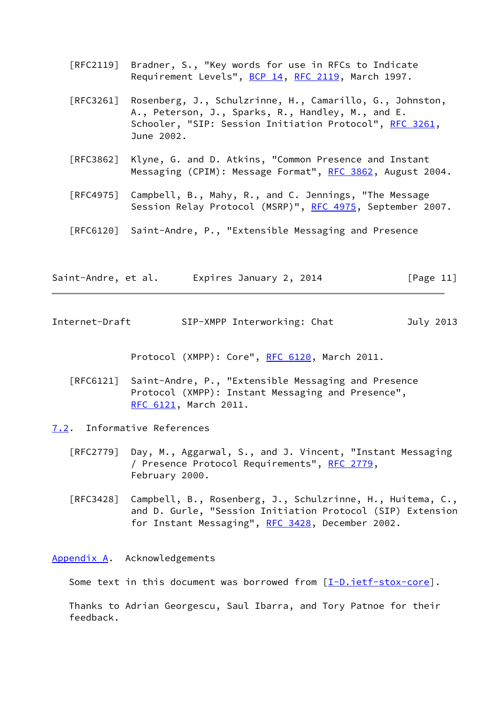- [RFC2119] Bradner, S., "Key words for use in RFCs to Indicate Requirement Levels", [BCP 14](https://datatracker.ietf.org/doc/pdf/bcp14), [RFC 2119](https://datatracker.ietf.org/doc/pdf/rfc2119), March 1997.
- [RFC3261] Rosenberg, J., Schulzrinne, H., Camarillo, G., Johnston, A., Peterson, J., Sparks, R., Handley, M., and E. Schooler, "SIP: Session Initiation Protocol", [RFC 3261](https://datatracker.ietf.org/doc/pdf/rfc3261), June 2002.
- [RFC3862] Klyne, G. and D. Atkins, "Common Presence and Instant Messaging (CPIM): Message Format", [RFC 3862](https://datatracker.ietf.org/doc/pdf/rfc3862), August 2004.
- [RFC4975] Campbell, B., Mahy, R., and C. Jennings, "The Message Session Relay Protocol (MSRP)", [RFC 4975,](https://datatracker.ietf.org/doc/pdf/rfc4975) September 2007.
- [RFC6120] Saint-Andre, P., "Extensible Messaging and Presence

| Saint-Andre, et al. | Expires January 2, 2014 | [Page $11$ ] |
|---------------------|-------------------------|--------------|
|---------------------|-------------------------|--------------|

<span id="page-12-1"></span>Internet-Draft SIP-XMPP Interworking: Chat July 2013

Protocol (XMPP): Core", [RFC 6120,](https://datatracker.ietf.org/doc/pdf/rfc6120) March 2011.

- [RFC6121] Saint-Andre, P., "Extensible Messaging and Presence Protocol (XMPP): Instant Messaging and Presence", [RFC 6121,](https://datatracker.ietf.org/doc/pdf/rfc6121) March 2011.
- <span id="page-12-0"></span>[7.2](#page-12-0). Informative References
	- [RFC2779] Day, M., Aggarwal, S., and J. Vincent, "Instant Messaging / Presence Protocol Requirements", [RFC 2779](https://datatracker.ietf.org/doc/pdf/rfc2779), February 2000.
	- [RFC3428] Campbell, B., Rosenberg, J., Schulzrinne, H., Huitema, C., and D. Gurle, "Session Initiation Protocol (SIP) Extension for Instant Messaging", [RFC 3428,](https://datatracker.ietf.org/doc/pdf/rfc3428) December 2002.

<span id="page-12-2"></span>[Appendix A.](#page-12-2) Acknowledgements

Some text in this document was borrowed from [\[I-D.ietf-stox-core\]](#page-11-5).

 Thanks to Adrian Georgescu, Saul Ibarra, and Tory Patnoe for their feedback.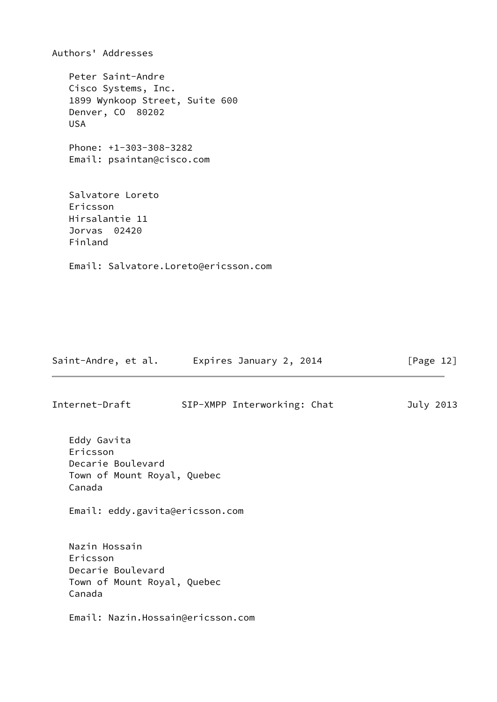Authors' Addresses Peter Saint-Andre Cisco Systems, Inc. 1899 Wynkoop Street, Suite 600 Denver, CO 80202 USA Phone: +1-303-308-3282 Email: psaintan@cisco.com Salvatore Loreto Ericsson Hirsalantie 11 Jorvas 02420 Finland Email: Salvatore.Loreto@ericsson.com

| Saint-Andre, et al.                                                                                                      | Expires January 2, 2014     | [Page $12$ ] |
|--------------------------------------------------------------------------------------------------------------------------|-----------------------------|--------------|
| Internet-Draft                                                                                                           | SIP-XMPP Interworking: Chat | July 2013    |
| Eddy Gavita<br>Ericsson<br>Decarie Boulevard<br>Town of Mount Royal, Quebec<br>Canada<br>Email: eddy.gavita@ericsson.com |                             |              |
| Nazin Hossain<br>Ericsson<br>Decarie Boulevard<br>Town of Mount Royal, Quebec<br>Canada                                  |                             |              |
| Email: Nazin.Hossain@ericsson.com                                                                                        |                             |              |